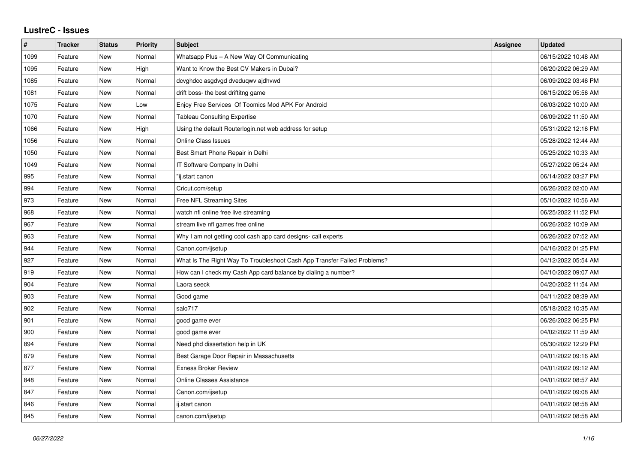## **LustreC - Issues**

| $\#$ | <b>Tracker</b> | <b>Status</b> | <b>Priority</b> | <b>Subject</b>                                                           | Assignee | <b>Updated</b>      |
|------|----------------|---------------|-----------------|--------------------------------------------------------------------------|----------|---------------------|
| 1099 | Feature        | New           | Normal          | Whatsapp Plus - A New Way Of Communicating                               |          | 06/15/2022 10:48 AM |
| 1095 | Feature        | <b>New</b>    | High            | Want to Know the Best CV Makers in Dubai?                                |          | 06/20/2022 06:29 AM |
| 1085 | Feature        | New           | Normal          | dcvghdcc asgdvgd dveduqwv ajdhvwd                                        |          | 06/09/2022 03:46 PM |
| 1081 | Feature        | <b>New</b>    | Normal          | drift boss- the best driftitng game                                      |          | 06/15/2022 05:56 AM |
| 1075 | Feature        | <b>New</b>    | Low             | Enjoy Free Services Of Toomics Mod APK For Android                       |          | 06/03/2022 10:00 AM |
| 1070 | Feature        | New           | Normal          | <b>Tableau Consulting Expertise</b>                                      |          | 06/09/2022 11:50 AM |
| 1066 | Feature        | New           | High            | Using the default Routerlogin.net web address for setup                  |          | 05/31/2022 12:16 PM |
| 1056 | Feature        | <b>New</b>    | Normal          | <b>Online Class Issues</b>                                               |          | 05/28/2022 12:44 AM |
| 1050 | Feature        | New           | Normal          | Best Smart Phone Repair in Delhi                                         |          | 05/25/2022 10:33 AM |
| 1049 | Feature        | <b>New</b>    | Normal          | IT Software Company In Delhi                                             |          | 05/27/2022 05:24 AM |
| 995  | Feature        | <b>New</b>    | Normal          | "ij.start canon                                                          |          | 06/14/2022 03:27 PM |
| 994  | Feature        | New           | Normal          | Cricut.com/setup                                                         |          | 06/26/2022 02:00 AM |
| 973  | Feature        | <b>New</b>    | Normal          | Free NFL Streaming Sites                                                 |          | 05/10/2022 10:56 AM |
| 968  | Feature        | <b>New</b>    | Normal          | watch nfl online free live streaming                                     |          | 06/25/2022 11:52 PM |
| 967  | Feature        | New           | Normal          | stream live nfl games free online                                        |          | 06/26/2022 10:09 AM |
| 963  | Feature        | <b>New</b>    | Normal          | Why I am not getting cool cash app card designs- call experts            |          | 06/26/2022 07:52 AM |
| 944  | Feature        | New           | Normal          | Canon.com/ijsetup                                                        |          | 04/16/2022 01:25 PM |
| 927  | Feature        | New           | Normal          | What Is The Right Way To Troubleshoot Cash App Transfer Failed Problems? |          | 04/12/2022 05:54 AM |
| 919  | Feature        | <b>New</b>    | Normal          | How can I check my Cash App card balance by dialing a number?            |          | 04/10/2022 09:07 AM |
| 904  | Feature        | New           | Normal          | Laora seeck                                                              |          | 04/20/2022 11:54 AM |
| 903  | Feature        | New           | Normal          | Good game                                                                |          | 04/11/2022 08:39 AM |
| 902  | Feature        | <b>New</b>    | Normal          | salo717                                                                  |          | 05/18/2022 10:35 AM |
| 901  | Feature        | New           | Normal          | good game ever                                                           |          | 06/26/2022 06:25 PM |
| 900  | Feature        | <b>New</b>    | Normal          | good game ever                                                           |          | 04/02/2022 11:59 AM |
| 894  | Feature        | <b>New</b>    | Normal          | Need phd dissertation help in UK                                         |          | 05/30/2022 12:29 PM |
| 879  | Feature        | New           | Normal          | Best Garage Door Repair in Massachusetts                                 |          | 04/01/2022 09:16 AM |
| 877  | Feature        | <b>New</b>    | Normal          | <b>Exness Broker Review</b>                                              |          | 04/01/2022 09:12 AM |
| 848  | Feature        | New           | Normal          | Online Classes Assistance                                                |          | 04/01/2022 08:57 AM |
| 847  | Feature        | New           | Normal          | Canon.com/ijsetup                                                        |          | 04/01/2022 09:08 AM |
| 846  | Feature        | New           | Normal          | ij.start canon                                                           |          | 04/01/2022 08:58 AM |
| 845  | Feature        | <b>New</b>    | Normal          | canon.com/ijsetup                                                        |          | 04/01/2022 08:58 AM |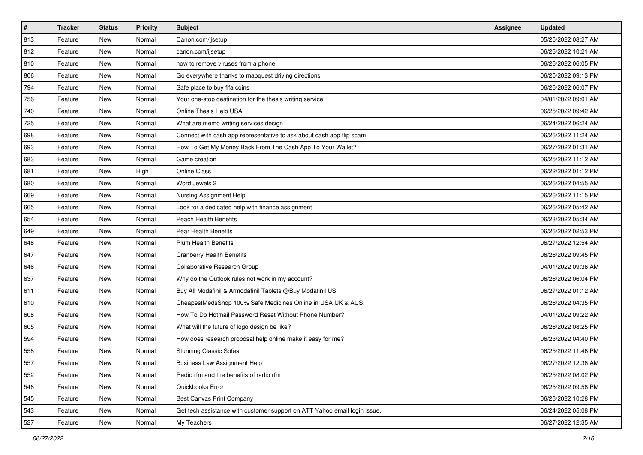| $\sharp$ | <b>Tracker</b> | <b>Status</b> | Priority | <b>Subject</b>                                                            | Assignee | <b>Updated</b>      |
|----------|----------------|---------------|----------|---------------------------------------------------------------------------|----------|---------------------|
| 813      | Feature        | New           | Normal   | Canon.com/ijsetup                                                         |          | 05/25/2022 08:27 AM |
| 812      | Feature        | New           | Normal   | canon.com/ijsetup                                                         |          | 06/26/2022 10:21 AM |
| 810      | Feature        | New           | Normal   | how to remove viruses from a phone                                        |          | 06/26/2022 06:05 PM |
| 806      | Feature        | New           | Normal   | Go everywhere thanks to mapquest driving directions                       |          | 06/25/2022 09:13 PM |
| 794      | Feature        | New           | Normal   | Safe place to buy fifa coins                                              |          | 06/26/2022 06:07 PM |
| 756      | Feature        | New           | Normal   | Your one-stop destination for the thesis writing service                  |          | 04/01/2022 09:01 AM |
| 740      | Feature        | New           | Normal   | Online Thesis Help USA                                                    |          | 06/25/2022 09:42 AM |
| 725      | Feature        | New           | Normal   | What are memo writing services design                                     |          | 06/24/2022 06:24 AM |
| 698      | Feature        | New           | Normal   | Connect with cash app representative to ask about cash app flip scam      |          | 06/26/2022 11:24 AM |
| 693      | Feature        | New           | Normal   | How To Get My Money Back From The Cash App To Your Wallet?                |          | 06/27/2022 01:31 AM |
| 683      | Feature        | New           | Normal   | Game creation                                                             |          | 06/25/2022 11:12 AM |
| 681      | Feature        | New           | High     | <b>Online Class</b>                                                       |          | 06/22/2022 01:12 PM |
| 680      | Feature        | New           | Normal   | Word Jewels 2                                                             |          | 06/26/2022 04:55 AM |
| 669      | Feature        | New           | Normal   | Nursing Assignment Help                                                   |          | 06/26/2022 11:15 PM |
| 665      | Feature        | New           | Normal   | Look for a dedicated help with finance assignment                         |          | 06/26/2022 05:42 AM |
| 654      | Feature        | New           | Normal   | <b>Peach Health Benefits</b>                                              |          | 06/23/2022 05:34 AM |
| 649      | Feature        | New           | Normal   | Pear Health Benefits                                                      |          | 06/26/2022 02:53 PM |
| 648      | Feature        | New           | Normal   | Plum Health Benefits                                                      |          | 06/27/2022 12:54 AM |
| 647      | Feature        | New           | Normal   | <b>Cranberry Health Benefits</b>                                          |          | 06/26/2022 09:45 PM |
| 646      | Feature        | New           | Normal   | Collaborative Research Group                                              |          | 04/01/2022 09:36 AM |
| 637      | Feature        | New           | Normal   | Why do the Outlook rules not work in my account?                          |          | 06/26/2022 06:04 PM |
| 611      | Feature        | New           | Normal   | Buy All Modafinil & Armodafinil Tablets @Buy Modafinil US                 |          | 06/27/2022 01:12 AM |
| 610      | Feature        | New           | Normal   | CheapestMedsShop 100% Safe Medicines Online in USA UK & AUS.              |          | 06/26/2022 04:35 PM |
| 608      | Feature        | New           | Normal   | How To Do Hotmail Password Reset Without Phone Number?                    |          | 04/01/2022 09:22 AM |
| 605      | Feature        | New           | Normal   | What will the future of logo design be like?                              |          | 06/26/2022 08:25 PM |
| 594      | Feature        | New           | Normal   | How does research proposal help online make it easy for me?               |          | 06/23/2022 04:40 PM |
| 558      | Feature        | New           | Normal   | <b>Stunning Classic Sofas</b>                                             |          | 06/25/2022 11:46 PM |
| 557      | Feature        | New           | Normal   | <b>Business Law Assignment Help</b>                                       |          | 06/27/2022 12:38 AM |
| 552      | Feature        | New           | Normal   | Radio rfm and the benefits of radio rfm                                   |          | 06/25/2022 08:02 PM |
| 546      | Feature        | New           | Normal   | Quickbooks Error                                                          |          | 06/25/2022 09:58 PM |
| 545      | Feature        | New           | Normal   | <b>Best Canvas Print Company</b>                                          |          | 06/26/2022 10:28 PM |
| 543      | Feature        | New           | Normal   | Get tech assistance with customer support on ATT Yahoo email login issue. |          | 06/24/2022 05:08 PM |
| 527      | Feature        | New           | Normal   | My Teachers                                                               |          | 06/27/2022 12:35 AM |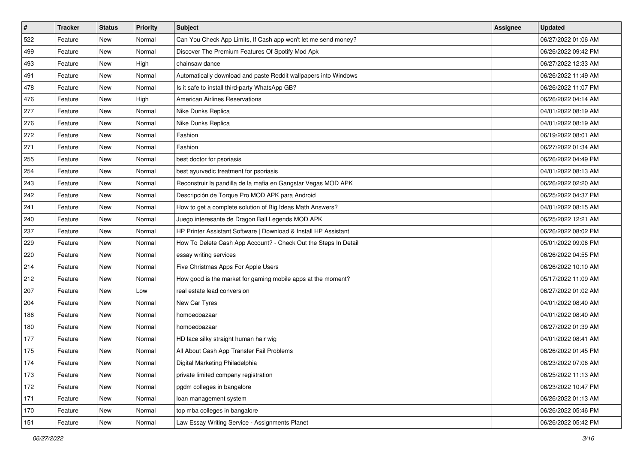| #   | <b>Tracker</b> | <b>Status</b> | <b>Priority</b> | Subject                                                         | <b>Assignee</b> | <b>Updated</b>      |
|-----|----------------|---------------|-----------------|-----------------------------------------------------------------|-----------------|---------------------|
| 522 | Feature        | New           | Normal          | Can You Check App Limits, If Cash app won't let me send money?  |                 | 06/27/2022 01:06 AM |
| 499 | Feature        | New           | Normal          | Discover The Premium Features Of Spotify Mod Apk                |                 | 06/26/2022 09:42 PM |
| 493 | Feature        | New           | High            | chainsaw dance                                                  |                 | 06/27/2022 12:33 AM |
| 491 | Feature        | New           | Normal          | Automatically download and paste Reddit wallpapers into Windows |                 | 06/26/2022 11:49 AM |
| 478 | Feature        | New           | Normal          | Is it safe to install third-party WhatsApp GB?                  |                 | 06/26/2022 11:07 PM |
| 476 | Feature        | New           | High            | <b>American Airlines Reservations</b>                           |                 | 06/26/2022 04:14 AM |
| 277 | Feature        | New           | Normal          | Nike Dunks Replica                                              |                 | 04/01/2022 08:19 AM |
| 276 | Feature        | New           | Normal          | Nike Dunks Replica                                              |                 | 04/01/2022 08:19 AM |
| 272 | Feature        | New           | Normal          | Fashion                                                         |                 | 06/19/2022 08:01 AM |
| 271 | Feature        | New           | Normal          | Fashion                                                         |                 | 06/27/2022 01:34 AM |
| 255 | Feature        | New           | Normal          | best doctor for psoriasis                                       |                 | 06/26/2022 04:49 PM |
| 254 | Feature        | New           | Normal          | best ayurvedic treatment for psoriasis                          |                 | 04/01/2022 08:13 AM |
| 243 | Feature        | New           | Normal          | Reconstruir la pandilla de la mafia en Gangstar Vegas MOD APK   |                 | 06/26/2022 02:20 AM |
| 242 | Feature        | New           | Normal          | Descripción de Torque Pro MOD APK para Android                  |                 | 06/25/2022 04:37 PM |
| 241 | Feature        | New           | Normal          | How to get a complete solution of Big Ideas Math Answers?       |                 | 04/01/2022 08:15 AM |
| 240 | Feature        | New           | Normal          | Juego interesante de Dragon Ball Legends MOD APK                |                 | 06/25/2022 12:21 AM |
| 237 | Feature        | New           | Normal          | HP Printer Assistant Software   Download & Install HP Assistant |                 | 06/26/2022 08:02 PM |
| 229 | Feature        | New           | Normal          | How To Delete Cash App Account? - Check Out the Steps In Detail |                 | 05/01/2022 09:06 PM |
| 220 | Feature        | New           | Normal          | essay writing services                                          |                 | 06/26/2022 04:55 PM |
| 214 | Feature        | New           | Normal          | Five Christmas Apps For Apple Users                             |                 | 06/26/2022 10:10 AM |
| 212 | Feature        | New           | Normal          | How good is the market for gaming mobile apps at the moment?    |                 | 05/17/2022 11:09 AM |
| 207 | Feature        | New           | Low             | real estate lead conversion                                     |                 | 06/27/2022 01:02 AM |
| 204 | Feature        | New           | Normal          | New Car Tyres                                                   |                 | 04/01/2022 08:40 AM |
| 186 | Feature        | New           | Normal          | homoeobazaar                                                    |                 | 04/01/2022 08:40 AM |
| 180 | Feature        | New           | Normal          | homoeobazaar                                                    |                 | 06/27/2022 01:39 AM |
| 177 | Feature        | New           | Normal          | HD lace silky straight human hair wig                           |                 | 04/01/2022 08:41 AM |
| 175 | Feature        | New           | Normal          | All About Cash App Transfer Fail Problems                       |                 | 06/26/2022 01:45 PM |
| 174 | Feature        | New           | Normal          | Digital Marketing Philadelphia                                  |                 | 06/23/2022 07:06 AM |
| 173 | Feature        | New           | Normal          | private limited company registration                            |                 | 06/25/2022 11:13 AM |
| 172 | Feature        | New           | Normal          | pgdm colleges in bangalore                                      |                 | 06/23/2022 10:47 PM |
| 171 | Feature        | New           | Normal          | loan management system                                          |                 | 06/26/2022 01:13 AM |
| 170 | Feature        | New           | Normal          | top mba colleges in bangalore                                   |                 | 06/26/2022 05:46 PM |
| 151 | Feature        | New           | Normal          | Law Essay Writing Service - Assignments Planet                  |                 | 06/26/2022 05:42 PM |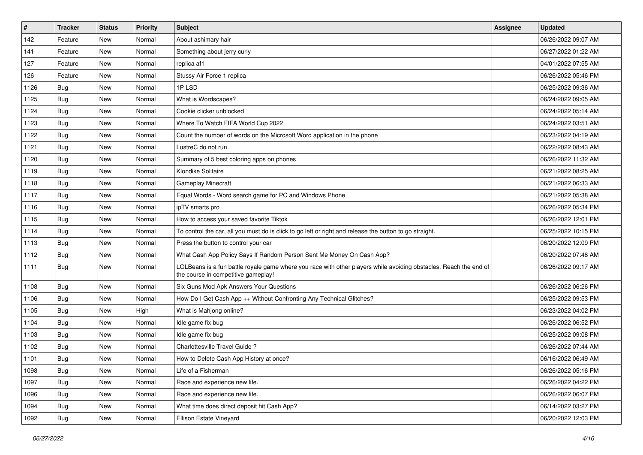| $\pmb{\#}$ | <b>Tracker</b> | <b>Status</b> | <b>Priority</b> | Subject                                                                                                                                                  | <b>Assignee</b> | <b>Updated</b>      |
|------------|----------------|---------------|-----------------|----------------------------------------------------------------------------------------------------------------------------------------------------------|-----------------|---------------------|
| 142        | Feature        | New           | Normal          | About ashimary hair                                                                                                                                      |                 | 06/26/2022 09:07 AM |
| 141        | Feature        | <b>New</b>    | Normal          | Something about jerry curly                                                                                                                              |                 | 06/27/2022 01:22 AM |
| 127        | Feature        | New           | Normal          | replica af1                                                                                                                                              |                 | 04/01/2022 07:55 AM |
| 126        | Feature        | New           | Normal          | Stussy Air Force 1 replica                                                                                                                               |                 | 06/26/2022 05:46 PM |
| 1126       | Bug            | <b>New</b>    | Normal          | 1PLSD                                                                                                                                                    |                 | 06/25/2022 09:36 AM |
| 1125       | Bug            | New           | Normal          | What is Wordscapes?                                                                                                                                      |                 | 06/24/2022 09:05 AM |
| 1124       | Bug            | New           | Normal          | Cookie clicker unblocked                                                                                                                                 |                 | 06/24/2022 05:14 AM |
| 1123       | Bug            | New           | Normal          | Where To Watch FIFA World Cup 2022                                                                                                                       |                 | 06/24/2022 03:51 AM |
| 1122       | Bug            | New           | Normal          | Count the number of words on the Microsoft Word application in the phone                                                                                 |                 | 06/23/2022 04:19 AM |
| 1121       | Bug            | New           | Normal          | LustreC do not run                                                                                                                                       |                 | 06/22/2022 08:43 AM |
| 1120       | Bug            | New           | Normal          | Summary of 5 best coloring apps on phones                                                                                                                |                 | 06/26/2022 11:32 AM |
| 1119       | Bug            | New           | Normal          | Klondike Solitaire                                                                                                                                       |                 | 06/21/2022 08:25 AM |
| 1118       | Bug            | <b>New</b>    | Normal          | <b>Gameplay Minecraft</b>                                                                                                                                |                 | 06/21/2022 06:33 AM |
| 1117       | Bug            | <b>New</b>    | Normal          | Equal Words - Word search game for PC and Windows Phone                                                                                                  |                 | 06/21/2022 05:38 AM |
| 1116       | Bug            | New           | Normal          | ipTV smarts pro                                                                                                                                          |                 | 06/26/2022 05:34 PM |
| 1115       | Bug            | New           | Normal          | How to access your saved favorite Tiktok                                                                                                                 |                 | 06/26/2022 12:01 PM |
| 1114       | Bug            | New           | Normal          | To control the car, all you must do is click to go left or right and release the button to go straight.                                                  |                 | 06/25/2022 10:15 PM |
| 1113       | Bug            | <b>New</b>    | Normal          | Press the button to control your car                                                                                                                     |                 | 06/20/2022 12:09 PM |
| 1112       | Bug            | New           | Normal          | What Cash App Policy Says If Random Person Sent Me Money On Cash App?                                                                                    |                 | 06/20/2022 07:48 AM |
| 1111       | Bug            | New           | Normal          | LOLBeans is a fun battle royale game where you race with other players while avoiding obstacles. Reach the end of<br>the course in competitive gameplay! |                 | 06/26/2022 09:17 AM |
| 1108       | Bug            | <b>New</b>    | Normal          | Six Guns Mod Apk Answers Your Questions                                                                                                                  |                 | 06/26/2022 06:26 PM |
| 1106       | Bug            | New           | Normal          | How Do I Get Cash App ++ Without Confronting Any Technical Glitches?                                                                                     |                 | 06/25/2022 09:53 PM |
| 1105       | Bug            | New           | High            | What is Mahjong online?                                                                                                                                  |                 | 06/23/2022 04:02 PM |
| 1104       | Bug            | New           | Normal          | Idle game fix bug                                                                                                                                        |                 | 06/26/2022 06:52 PM |
| 1103       | Bug            | <b>New</b>    | Normal          | Idle game fix bug                                                                                                                                        |                 | 06/25/2022 09:08 PM |
| 1102       | Bug            | New           | Normal          | Charlottesville Travel Guide?                                                                                                                            |                 | 06/26/2022 07:44 AM |
| 1101       | <b>Bug</b>     | New           | Normal          | How to Delete Cash App History at once?                                                                                                                  |                 | 06/16/2022 06:49 AM |
| 1098       | <b>Bug</b>     | New           | Normal          | Life of a Fisherman                                                                                                                                      |                 | 06/26/2022 05:16 PM |
| 1097       | <b>Bug</b>     | New           | Normal          | Race and experience new life.                                                                                                                            |                 | 06/26/2022 04:22 PM |
| 1096       | <b>Bug</b>     | New           | Normal          | Race and experience new life.                                                                                                                            |                 | 06/26/2022 06:07 PM |
| 1094       | Bug            | New           | Normal          | What time does direct deposit hit Cash App?                                                                                                              |                 | 06/14/2022 03:27 PM |
| 1092       | Bug            | New           | Normal          | Ellison Estate Vineyard                                                                                                                                  |                 | 06/20/2022 12:03 PM |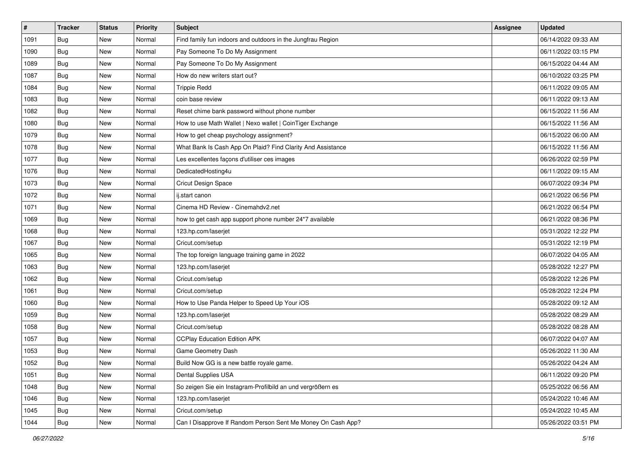| $\pmb{\#}$ | <b>Tracker</b> | <b>Status</b> | <b>Priority</b> | <b>Subject</b>                                               | <b>Assignee</b> | <b>Updated</b>      |
|------------|----------------|---------------|-----------------|--------------------------------------------------------------|-----------------|---------------------|
| 1091       | <b>Bug</b>     | New           | Normal          | Find family fun indoors and outdoors in the Jungfrau Region  |                 | 06/14/2022 09:33 AM |
| 1090       | Bug            | New           | Normal          | Pay Someone To Do My Assignment                              |                 | 06/11/2022 03:15 PM |
| 1089       | Bug            | New           | Normal          | Pay Someone To Do My Assignment                              |                 | 06/15/2022 04:44 AM |
| 1087       | Bug            | New           | Normal          | How do new writers start out?                                |                 | 06/10/2022 03:25 PM |
| 1084       | <b>Bug</b>     | <b>New</b>    | Normal          | <b>Trippie Redd</b>                                          |                 | 06/11/2022 09:05 AM |
| 1083       | Bug            | New           | Normal          | coin base review                                             |                 | 06/11/2022 09:13 AM |
| 1082       | Bug            | New           | Normal          | Reset chime bank password without phone number               |                 | 06/15/2022 11:56 AM |
| 1080       | Bug            | New           | Normal          | How to use Math Wallet   Nexo wallet   CoinTiger Exchange    |                 | 06/15/2022 11:56 AM |
| 1079       | <b>Bug</b>     | New           | Normal          | How to get cheap psychology assignment?                      |                 | 06/15/2022 06:00 AM |
| 1078       | Bug            | New           | Normal          | What Bank Is Cash App On Plaid? Find Clarity And Assistance  |                 | 06/15/2022 11:56 AM |
| 1077       | Bug            | New           | Normal          | Les excellentes façons d'utiliser ces images                 |                 | 06/26/2022 02:59 PM |
| 1076       | Bug            | New           | Normal          | DedicatedHosting4u                                           |                 | 06/11/2022 09:15 AM |
| 1073       | Bug            | New           | Normal          | Cricut Design Space                                          |                 | 06/07/2022 09:34 PM |
| 1072       | <b>Bug</b>     | New           | Normal          | ij.start canon                                               |                 | 06/21/2022 06:56 PM |
| 1071       | <b>Bug</b>     | New           | Normal          | Cinema HD Review - Cinemahdv2.net                            |                 | 06/21/2022 06:54 PM |
| 1069       | Bug            | New           | Normal          | how to get cash app support phone number 24*7 available      |                 | 06/21/2022 08:36 PM |
| 1068       | <b>Bug</b>     | New           | Normal          | 123.hp.com/laserjet                                          |                 | 05/31/2022 12:22 PM |
| 1067       | Bug            | <b>New</b>    | Normal          | Cricut.com/setup                                             |                 | 05/31/2022 12:19 PM |
| 1065       | <b>Bug</b>     | New           | Normal          | The top foreign language training game in 2022               |                 | 06/07/2022 04:05 AM |
| 1063       | <b>Bug</b>     | New           | Normal          | 123.hp.com/laserjet                                          |                 | 05/28/2022 12:27 PM |
| 1062       | <b>Bug</b>     | New           | Normal          | Cricut.com/setup                                             |                 | 05/28/2022 12:26 PM |
| 1061       | <b>Bug</b>     | New           | Normal          | Cricut.com/setup                                             |                 | 05/28/2022 12:24 PM |
| 1060       | Bug            | <b>New</b>    | Normal          | How to Use Panda Helper to Speed Up Your iOS                 |                 | 05/28/2022 09:12 AM |
| 1059       | Bug            | New           | Normal          | 123.hp.com/laserjet                                          |                 | 05/28/2022 08:29 AM |
| 1058       | Bug            | New           | Normal          | Cricut.com/setup                                             |                 | 05/28/2022 08:28 AM |
| 1057       | Bug            | New           | Normal          | <b>CCPlay Education Edition APK</b>                          |                 | 06/07/2022 04:07 AM |
| 1053       | <b>Bug</b>     | New           | Normal          | Game Geometry Dash                                           |                 | 05/26/2022 11:30 AM |
| 1052       | <b>Bug</b>     | New           | Normal          | Build Now GG is a new battle royale game.                    |                 | 05/26/2022 04:24 AM |
| 1051       | Bug            | New           | Normal          | Dental Supplies USA                                          |                 | 06/11/2022 09:20 PM |
| 1048       | Bug            | New           | Normal          | So zeigen Sie ein Instagram-Profilbild an und vergrößern es  |                 | 05/25/2022 06:56 AM |
| 1046       | Bug            | New           | Normal          | 123.hp.com/laserjet                                          |                 | 05/24/2022 10:46 AM |
| 1045       | Bug            | New           | Normal          | Cricut.com/setup                                             |                 | 05/24/2022 10:45 AM |
| 1044       | <b>Bug</b>     | New           | Normal          | Can I Disapprove If Random Person Sent Me Money On Cash App? |                 | 05/26/2022 03:51 PM |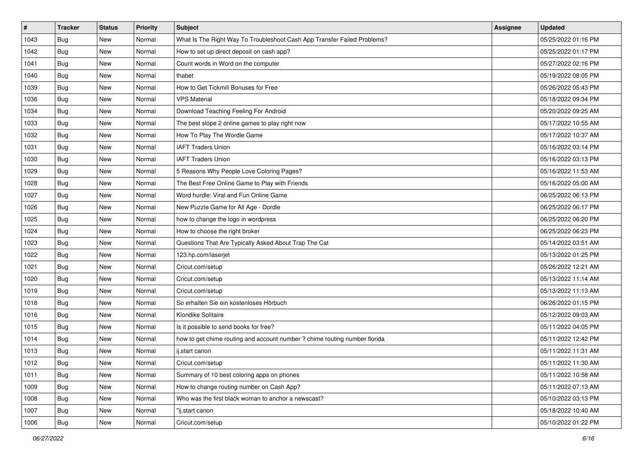| $\sharp$ | <b>Tracker</b> | <b>Status</b> | <b>Priority</b> | Subject                                                                    | Assignee | <b>Updated</b>      |
|----------|----------------|---------------|-----------------|----------------------------------------------------------------------------|----------|---------------------|
| 1043     | <b>Bug</b>     | New           | Normal          | What Is The Right Way To Troubleshoot Cash App Transfer Failed Problems?   |          | 05/25/2022 01:16 PM |
| 1042     | Bug            | New           | Normal          | How to set up direct deposit on cash app?                                  |          | 05/25/2022 01:17 PM |
| 1041     | Bug            | New           | Normal          | Count words in Word on the computer                                        |          | 05/27/2022 02:16 PM |
| 1040     | <b>Bug</b>     | New           | Normal          | thabet                                                                     |          | 05/19/2022 08:05 PM |
| 1039     | <b>Bug</b>     | New           | Normal          | How to Get Tickmill Bonuses for Free                                       |          | 05/26/2022 05:43 PM |
| 1036     | Bug            | New           | Normal          | <b>VPS Material</b>                                                        |          | 05/18/2022 09:34 PM |
| 1034     | Bug            | New           | Normal          | Download Teaching Feeling For Android                                      |          | 05/20/2022 09:25 AM |
| 1033     | <b>Bug</b>     | New           | Normal          | The best slope 2 online games to play right now                            |          | 05/17/2022 10:55 AM |
| 1032     | <b>Bug</b>     | New           | Normal          | How To Play The Wordle Game                                                |          | 05/17/2022 10:37 AM |
| 1031     | Bug            | New           | Normal          | <b>IAFT Traders Union</b>                                                  |          | 05/16/2022 03:14 PM |
| 1030     | Bug            | New           | Normal          | <b>IAFT Traders Union</b>                                                  |          | 05/16/2022 03:13 PM |
| 1029     | <b>Bug</b>     | New           | Normal          | 5 Reasons Why People Love Coloring Pages?                                  |          | 05/16/2022 11:53 AM |
| 1028     | Bug            | <b>New</b>    | Normal          | The Best Free Online Game to Play with Friends                             |          | 05/16/2022 05:00 AM |
| 1027     | <b>Bug</b>     | New           | Normal          | Word hurdle: Viral and Fun Online Game                                     |          | 06/25/2022 06:13 PM |
| 1026     | <b>Bug</b>     | New           | Normal          | New Puzzle Game for All Age - Dordle                                       |          | 06/25/2022 06:17 PM |
| 1025     | <b>Bug</b>     | New           | Normal          | how to change the logo in wordpress                                        |          | 06/25/2022 06:20 PM |
| 1024     | <b>Bug</b>     | New           | Normal          | How to choose the right broker                                             |          | 06/25/2022 06:23 PM |
| 1023     | <b>Bug</b>     | <b>New</b>    | Normal          | Questions That Are Typically Asked About Trap The Cat                      |          | 05/14/2022 03:51 AM |
| 1022     | <b>Bug</b>     | New           | Normal          | 123.hp.com/laserjet                                                        |          | 05/13/2022 01:25 PM |
| 1021     | Bug            | New           | Normal          | Cricut.com/setup                                                           |          | 05/26/2022 12:21 AM |
| 1020     | <b>Bug</b>     | New           | Normal          | Cricut.com/setup                                                           |          | 05/13/2022 11:14 AM |
| 1019     | <b>Bug</b>     | New           | Normal          | Cricut.com/setup                                                           |          | 05/13/2022 11:13 AM |
| 1018     | Bug            | New           | Normal          | So erhalten Sie ein kostenloses Hörbuch                                    |          | 06/26/2022 01:15 PM |
| 1016     | Bug            | New           | Normal          | Klondike Solitaire                                                         |          | 05/12/2022 09:03 AM |
| 1015     | <b>Bug</b>     | New           | Normal          | Is it possible to send books for free?                                     |          | 05/11/2022 04:05 PM |
| 1014     | Bug            | New           | Normal          | how to get chime routing and account number ? chime routing number florida |          | 05/11/2022 12:42 PM |
| 1013     | <b>Bug</b>     | New           | Normal          | ij.start canon                                                             |          | 05/11/2022 11:31 AM |
| 1012     | <b>Bug</b>     | New           | Normal          | Cricut.com/setup                                                           |          | 05/11/2022 11:30 AM |
| 1011     | Bug            | New           | Normal          | Summary of 10 best coloring apps on phones                                 |          | 05/11/2022 10:58 AM |
| 1009     | Bug            | New           | Normal          | How to change routing number on Cash App?                                  |          | 05/11/2022 07:13 AM |
| 1008     | <b>Bug</b>     | New           | Normal          | Who was the first black woman to anchor a newscast?                        |          | 05/10/2022 03:13 PM |
| 1007     | Bug            | New           | Normal          | "ij.start canon                                                            |          | 05/18/2022 10:40 AM |
| 1006     | <b>Bug</b>     | New           | Normal          | Cricut.com/setup                                                           |          | 05/10/2022 01:22 PM |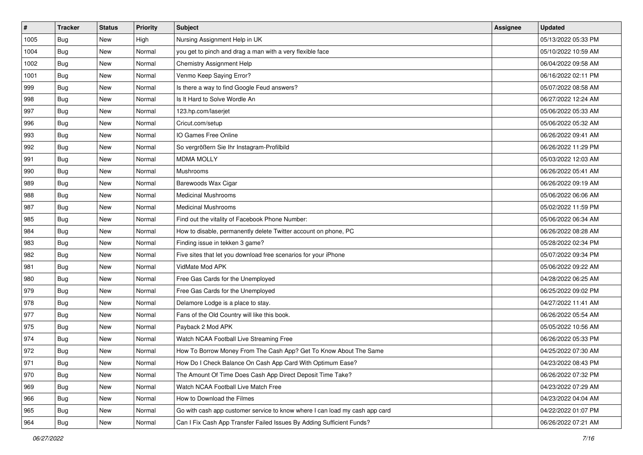| $\vert$ # | <b>Tracker</b> | <b>Status</b> | <b>Priority</b> | Subject                                                                     | <b>Assignee</b> | <b>Updated</b>      |
|-----------|----------------|---------------|-----------------|-----------------------------------------------------------------------------|-----------------|---------------------|
| 1005      | <b>Bug</b>     | New           | High            | Nursing Assignment Help in UK                                               |                 | 05/13/2022 05:33 PM |
| 1004      | <b>Bug</b>     | New           | Normal          | you get to pinch and drag a man with a very flexible face                   |                 | 05/10/2022 10:59 AM |
| 1002      | Bug            | New           | Normal          | Chemistry Assignment Help                                                   |                 | 06/04/2022 09:58 AM |
| 1001      | <b>Bug</b>     | New           | Normal          | Venmo Keep Saying Error?                                                    |                 | 06/16/2022 02:11 PM |
| 999       | Bug            | New           | Normal          | Is there a way to find Google Feud answers?                                 |                 | 05/07/2022 08:58 AM |
| 998       | <b>Bug</b>     | New           | Normal          | Is It Hard to Solve Wordle An                                               |                 | 06/27/2022 12:24 AM |
| 997       | Bug            | New           | Normal          | 123.hp.com/laserjet                                                         |                 | 05/06/2022 05:33 AM |
| 996       | <b>Bug</b>     | New           | Normal          | Cricut.com/setup                                                            |                 | 05/06/2022 05:32 AM |
| 993       | Bug            | New           | Normal          | IO Games Free Online                                                        |                 | 06/26/2022 09:41 AM |
| 992       | Bug            | New           | Normal          | So vergrößern Sie Ihr Instagram-Profilbild                                  |                 | 06/26/2022 11:29 PM |
| 991       | <b>Bug</b>     | New           | Normal          | <b>MDMA MOLLY</b>                                                           |                 | 05/03/2022 12:03 AM |
| 990       | Bug            | New           | Normal          | Mushrooms                                                                   |                 | 06/26/2022 05:41 AM |
| 989       | Bug            | New           | Normal          | Barewoods Wax Cigar                                                         |                 | 06/26/2022 09:19 AM |
| 988       | Bug            | New           | Normal          | <b>Medicinal Mushrooms</b>                                                  |                 | 05/06/2022 06:06 AM |
| 987       | <b>Bug</b>     | New           | Normal          | <b>Medicinal Mushrooms</b>                                                  |                 | 05/02/2022 11:59 PM |
| 985       | Bug            | New           | Normal          | Find out the vitality of Facebook Phone Number:                             |                 | 05/06/2022 06:34 AM |
| 984       | <b>Bug</b>     | New           | Normal          | How to disable, permanently delete Twitter account on phone, PC             |                 | 06/26/2022 08:28 AM |
| 983       | Bug            | New           | Normal          | Finding issue in tekken 3 game?                                             |                 | 05/28/2022 02:34 PM |
| 982       | <b>Bug</b>     | New           | Normal          | Five sites that let you download free scenarios for your iPhone             |                 | 05/07/2022 09:34 PM |
| 981       | Bug            | New           | Normal          | VidMate Mod APK                                                             |                 | 05/06/2022 09:22 AM |
| 980       | Bug            | New           | Normal          | Free Gas Cards for the Unemployed                                           |                 | 04/28/2022 06:25 AM |
| 979       | <b>Bug</b>     | New           | Normal          | Free Gas Cards for the Unemployed                                           |                 | 06/25/2022 09:02 PM |
| 978       | Bug            | New           | Normal          | Delamore Lodge is a place to stay.                                          |                 | 04/27/2022 11:41 AM |
| 977       | <b>Bug</b>     | New           | Normal          | Fans of the Old Country will like this book.                                |                 | 06/26/2022 05:54 AM |
| 975       | <b>Bug</b>     | New           | Normal          | Payback 2 Mod APK                                                           |                 | 05/05/2022 10:56 AM |
| 974       | Bug            | New           | Normal          | Watch NCAA Football Live Streaming Free                                     |                 | 06/26/2022 05:33 PM |
| 972       | <b>Bug</b>     | New           | Normal          | How To Borrow Money From The Cash App? Get To Know About The Same           |                 | 04/25/2022 07:30 AM |
| 971       | <b>Bug</b>     | New           | Normal          | How Do I Check Balance On Cash App Card With Optimum Ease?                  |                 | 04/23/2022 08:43 PM |
| 970       | Bug            | New           | Normal          | The Amount Of Time Does Cash App Direct Deposit Time Take?                  |                 | 06/26/2022 07:32 PM |
| 969       | Bug            | New           | Normal          | Watch NCAA Football Live Match Free                                         |                 | 04/23/2022 07:29 AM |
| 966       | Bug            | New           | Normal          | How to Download the Filmes                                                  |                 | 04/23/2022 04:04 AM |
| 965       | <b>Bug</b>     | New           | Normal          | Go with cash app customer service to know where I can load my cash app card |                 | 04/22/2022 01:07 PM |
| 964       | Bug            | New           | Normal          | Can I Fix Cash App Transfer Failed Issues By Adding Sufficient Funds?       |                 | 06/26/2022 07:21 AM |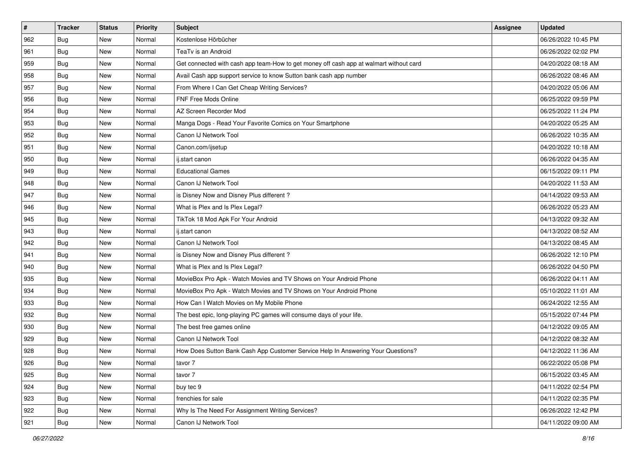| #   | <b>Tracker</b> | <b>Status</b> | <b>Priority</b> | Subject                                                                                | <b>Assignee</b> | <b>Updated</b>      |
|-----|----------------|---------------|-----------------|----------------------------------------------------------------------------------------|-----------------|---------------------|
| 962 | <b>Bug</b>     | New           | Normal          | Kostenlose Hörbücher                                                                   |                 | 06/26/2022 10:45 PM |
| 961 | Bug            | New           | Normal          | TeaTv is an Android                                                                    |                 | 06/26/2022 02:02 PM |
| 959 | Bug            | New           | Normal          | Get connected with cash app team-How to get money off cash app at walmart without card |                 | 04/20/2022 08:18 AM |
| 958 | <b>Bug</b>     | New           | Normal          | Avail Cash app support service to know Sutton bank cash app number                     |                 | 06/26/2022 08:46 AM |
| 957 | Bug            | New           | Normal          | From Where I Can Get Cheap Writing Services?                                           |                 | 04/20/2022 05:06 AM |
| 956 | <b>Bug</b>     | New           | Normal          | FNF Free Mods Online                                                                   |                 | 06/25/2022 09:59 PM |
| 954 | <b>Bug</b>     | New           | Normal          | AZ Screen Recorder Mod                                                                 |                 | 06/25/2022 11:24 PM |
| 953 | Bug            | New           | Normal          | Manga Dogs - Read Your Favorite Comics on Your Smartphone                              |                 | 04/20/2022 05:25 AM |
| 952 | Bug            | New           | Normal          | Canon IJ Network Tool                                                                  |                 | 06/26/2022 10:35 AM |
| 951 | Bug            | New           | Normal          | Canon.com/ijsetup                                                                      |                 | 04/20/2022 10:18 AM |
| 950 | Bug            | New           | Normal          | ij.start canon                                                                         |                 | 06/26/2022 04:35 AM |
| 949 | <b>Bug</b>     | New           | Normal          | <b>Educational Games</b>                                                               |                 | 06/15/2022 09:11 PM |
| 948 | Bug            | New           | Normal          | Canon IJ Network Tool                                                                  |                 | 04/20/2022 11:53 AM |
| 947 | <b>Bug</b>     | New           | Normal          | is Disney Now and Disney Plus different?                                               |                 | 04/14/2022 09:53 AM |
| 946 | <b>Bug</b>     | New           | Normal          | What is Plex and Is Plex Legal?                                                        |                 | 06/26/2022 05:23 AM |
| 945 | <b>Bug</b>     | New           | Normal          | TikTok 18 Mod Apk For Your Android                                                     |                 | 04/13/2022 09:32 AM |
| 943 | <b>Bug</b>     | New           | Normal          | ij.start canon                                                                         |                 | 04/13/2022 08:52 AM |
| 942 | Bug            | New           | Normal          | Canon IJ Network Tool                                                                  |                 | 04/13/2022 08:45 AM |
| 941 | <b>Bug</b>     | New           | Normal          | is Disney Now and Disney Plus different?                                               |                 | 06/26/2022 12:10 PM |
| 940 | Bug            | New           | Normal          | What is Plex and Is Plex Legal?                                                        |                 | 06/26/2022 04:50 PM |
| 935 | Bug            | New           | Normal          | MovieBox Pro Apk - Watch Movies and TV Shows on Your Android Phone                     |                 | 06/26/2022 04:11 AM |
| 934 | Bug            | New           | Normal          | MovieBox Pro Apk - Watch Movies and TV Shows on Your Android Phone                     |                 | 05/10/2022 11:01 AM |
| 933 | Bug            | New           | Normal          | How Can I Watch Movies on My Mobile Phone                                              |                 | 06/24/2022 12:55 AM |
| 932 | <b>Bug</b>     | New           | Normal          | The best epic, long-playing PC games will consume days of your life.                   |                 | 05/15/2022 07:44 PM |
| 930 | <b>Bug</b>     | New           | Normal          | The best free games online                                                             |                 | 04/12/2022 09:05 AM |
| 929 | Bug            | New           | Normal          | Canon IJ Network Tool                                                                  |                 | 04/12/2022 08:32 AM |
| 928 | <b>Bug</b>     | New           | Normal          | How Does Sutton Bank Cash App Customer Service Help In Answering Your Questions?       |                 | 04/12/2022 11:36 AM |
| 926 | Bug            | New           | Normal          | tavor 7                                                                                |                 | 06/22/2022 05:08 PM |
| 925 | Bug            | New           | Normal          | tavor 7                                                                                |                 | 06/15/2022 03:45 AM |
| 924 | <b>Bug</b>     | New           | Normal          | buy tec 9                                                                              |                 | 04/11/2022 02:54 PM |
| 923 | Bug            | New           | Normal          | frenchies for sale                                                                     |                 | 04/11/2022 02:35 PM |
| 922 | <b>Bug</b>     | New           | Normal          | Why Is The Need For Assignment Writing Services?                                       |                 | 06/26/2022 12:42 PM |
| 921 | <b>Bug</b>     | New           | Normal          | Canon IJ Network Tool                                                                  |                 | 04/11/2022 09:00 AM |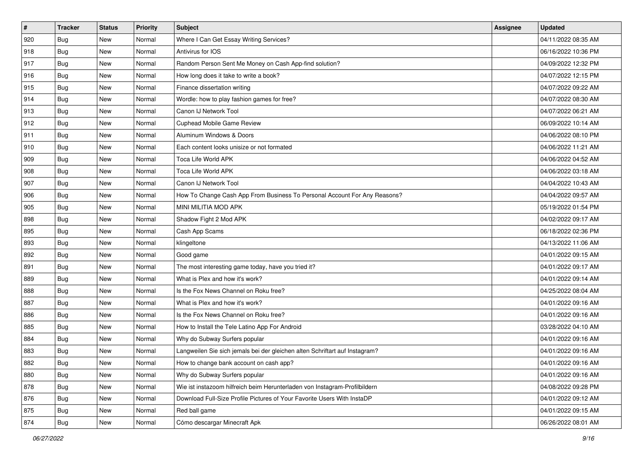| #   | <b>Tracker</b> | <b>Status</b> | <b>Priority</b> | Subject                                                                     | <b>Assignee</b> | <b>Updated</b>      |
|-----|----------------|---------------|-----------------|-----------------------------------------------------------------------------|-----------------|---------------------|
| 920 | <b>Bug</b>     | New           | Normal          | Where I Can Get Essay Writing Services?                                     |                 | 04/11/2022 08:35 AM |
| 918 | Bug            | New           | Normal          | Antivirus for IOS                                                           |                 | 06/16/2022 10:36 PM |
| 917 | Bug            | New           | Normal          | Random Person Sent Me Money on Cash App-find solution?                      |                 | 04/09/2022 12:32 PM |
| 916 | <b>Bug</b>     | New           | Normal          | How long does it take to write a book?                                      |                 | 04/07/2022 12:15 PM |
| 915 | Bug            | New           | Normal          | Finance dissertation writing                                                |                 | 04/07/2022 09:22 AM |
| 914 | <b>Bug</b>     | New           | Normal          | Wordle: how to play fashion games for free?                                 |                 | 04/07/2022 08:30 AM |
| 913 | Bug            | New           | Normal          | Canon IJ Network Tool                                                       |                 | 04/07/2022 06:21 AM |
| 912 | Bug            | New           | Normal          | Cuphead Mobile Game Review                                                  |                 | 06/09/2022 10:14 AM |
| 911 | <b>Bug</b>     | New           | Normal          | Aluminum Windows & Doors                                                    |                 | 04/06/2022 08:10 PM |
| 910 | <b>Bug</b>     | New           | Normal          | Each content looks unisize or not formated                                  |                 | 04/06/2022 11:21 AM |
| 909 | Bug            | New           | Normal          | Toca Life World APK                                                         |                 | 04/06/2022 04:52 AM |
| 908 | <b>Bug</b>     | New           | Normal          | Toca Life World APK                                                         |                 | 04/06/2022 03:18 AM |
| 907 | Bug            | New           | Normal          | Canon IJ Network Tool                                                       |                 | 04/04/2022 10:43 AM |
| 906 | Bug            | New           | Normal          | How To Change Cash App From Business To Personal Account For Any Reasons?   |                 | 04/04/2022 09:57 AM |
| 905 | <b>Bug</b>     | New           | Normal          | MINI MILITIA MOD APK                                                        |                 | 05/19/2022 01:54 PM |
| 898 | Bug            | New           | Normal          | Shadow Fight 2 Mod APK                                                      |                 | 04/02/2022 09:17 AM |
| 895 | <b>Bug</b>     | New           | Normal          | Cash App Scams                                                              |                 | 06/18/2022 02:36 PM |
| 893 | Bug            | New           | Normal          | klingeltone                                                                 |                 | 04/13/2022 11:06 AM |
| 892 | <b>Bug</b>     | New           | Normal          | Good game                                                                   |                 | 04/01/2022 09:15 AM |
| 891 | <b>Bug</b>     | New           | Normal          | The most interesting game today, have you tried it?                         |                 | 04/01/2022 09:17 AM |
| 889 | Bug            | New           | Normal          | What is Plex and how it's work?                                             |                 | 04/01/2022 09:14 AM |
| 888 | Bug            | New           | Normal          | Is the Fox News Channel on Roku free?                                       |                 | 04/25/2022 08:04 AM |
| 887 | Bug            | New           | Normal          | What is Plex and how it's work?                                             |                 | 04/01/2022 09:16 AM |
| 886 | <b>Bug</b>     | New           | Normal          | Is the Fox News Channel on Roku free?                                       |                 | 04/01/2022 09:16 AM |
| 885 | <b>Bug</b>     | New           | Normal          | How to Install the Tele Latino App For Android                              |                 | 03/28/2022 04:10 AM |
| 884 | Bug            | New           | Normal          | Why do Subway Surfers popular                                               |                 | 04/01/2022 09:16 AM |
| 883 | <b>Bug</b>     | New           | Normal          | Langweilen Sie sich jemals bei der gleichen alten Schriftart auf Instagram? |                 | 04/01/2022 09:16 AM |
| 882 | Bug            | New           | Normal          | How to change bank account on cash app?                                     |                 | 04/01/2022 09:16 AM |
| 880 | Bug            | New           | Normal          | Why do Subway Surfers popular                                               |                 | 04/01/2022 09:16 AM |
| 878 | <b>Bug</b>     | New           | Normal          | Wie ist instazoom hilfreich beim Herunterladen von Instagram-Profilbildern  |                 | 04/08/2022 09:28 PM |
| 876 | Bug            | New           | Normal          | Download Full-Size Profile Pictures of Your Favorite Users With InstaDP     |                 | 04/01/2022 09:12 AM |
| 875 | <b>Bug</b>     | New           | Normal          | Red ball game                                                               |                 | 04/01/2022 09:15 AM |
| 874 | <b>Bug</b>     | New           | Normal          | Cómo descargar Minecraft Apk                                                |                 | 06/26/2022 08:01 AM |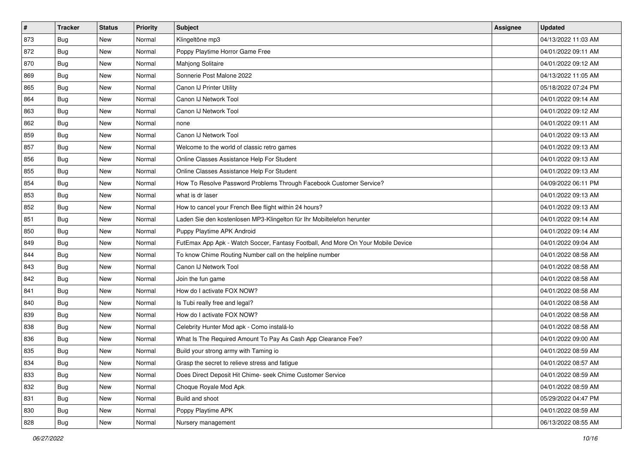| $\vert$ # | <b>Tracker</b> | <b>Status</b> | <b>Priority</b> | Subject                                                                          | <b>Assignee</b> | <b>Updated</b>      |
|-----------|----------------|---------------|-----------------|----------------------------------------------------------------------------------|-----------------|---------------------|
| 873       | <b>Bug</b>     | New           | Normal          | Klingeltöne mp3                                                                  |                 | 04/13/2022 11:03 AM |
| 872       | <b>Bug</b>     | New           | Normal          | Poppy Playtime Horror Game Free                                                  |                 | 04/01/2022 09:11 AM |
| 870       | Bug            | New           | Normal          | Mahjong Solitaire                                                                |                 | 04/01/2022 09:12 AM |
| 869       | <b>Bug</b>     | New           | Normal          | Sonnerie Post Malone 2022                                                        |                 | 04/13/2022 11:05 AM |
| 865       | <b>Bug</b>     | New           | Normal          | Canon IJ Printer Utility                                                         |                 | 05/18/2022 07:24 PM |
| 864       | <b>Bug</b>     | New           | Normal          | Canon IJ Network Tool                                                            |                 | 04/01/2022 09:14 AM |
| 863       | Bug            | New           | Normal          | Canon IJ Network Tool                                                            |                 | 04/01/2022 09:12 AM |
| 862       | <b>Bug</b>     | New           | Normal          | none                                                                             |                 | 04/01/2022 09:11 AM |
| 859       | <b>Bug</b>     | New           | Normal          | Canon IJ Network Tool                                                            |                 | 04/01/2022 09:13 AM |
| 857       | Bug            | New           | Normal          | Welcome to the world of classic retro games                                      |                 | 04/01/2022 09:13 AM |
| 856       | <b>Bug</b>     | New           | Normal          | Online Classes Assistance Help For Student                                       |                 | 04/01/2022 09:13 AM |
| 855       | <b>Bug</b>     | New           | Normal          | Online Classes Assistance Help For Student                                       |                 | 04/01/2022 09:13 AM |
| 854       | Bug            | New           | Normal          | How To Resolve Password Problems Through Facebook Customer Service?              |                 | 04/09/2022 06:11 PM |
| 853       | <b>Bug</b>     | New           | Normal          | what is dr laser                                                                 |                 | 04/01/2022 09:13 AM |
| 852       | <b>Bug</b>     | New           | Normal          | How to cancel your French Bee flight within 24 hours?                            |                 | 04/01/2022 09:13 AM |
| 851       | Bug            | New           | Normal          | Laden Sie den kostenlosen MP3-Klingelton für Ihr Mobiltelefon herunter           |                 | 04/01/2022 09:14 AM |
| 850       | <b>Bug</b>     | New           | Normal          | Puppy Playtime APK Android                                                       |                 | 04/01/2022 09:14 AM |
| 849       | Bug            | New           | Normal          | FutEmax App Apk - Watch Soccer, Fantasy Football, And More On Your Mobile Device |                 | 04/01/2022 09:04 AM |
| 844       | <b>Bug</b>     | New           | Normal          | To know Chime Routing Number call on the helpline number                         |                 | 04/01/2022 08:58 AM |
| 843       | <b>Bug</b>     | New           | Normal          | Canon IJ Network Tool                                                            |                 | 04/01/2022 08:58 AM |
| 842       | <b>Bug</b>     | New           | Normal          | Join the fun game                                                                |                 | 04/01/2022 08:58 AM |
| 841       | <b>Bug</b>     | New           | Normal          | How do I activate FOX NOW?                                                       |                 | 04/01/2022 08:58 AM |
| 840       | Bug            | New           | Normal          | Is Tubi really free and legal?                                                   |                 | 04/01/2022 08:58 AM |
| 839       | <b>Bug</b>     | New           | Normal          | How do I activate FOX NOW?                                                       |                 | 04/01/2022 08:58 AM |
| 838       | <b>Bug</b>     | New           | Normal          | Celebrity Hunter Mod apk - Como instalá-lo                                       |                 | 04/01/2022 08:58 AM |
| 836       | Bug            | New           | Normal          | What Is The Required Amount To Pay As Cash App Clearance Fee?                    |                 | 04/01/2022 09:00 AM |
| 835       | <b>Bug</b>     | New           | Normal          | Build your strong army with Taming io                                            |                 | 04/01/2022 08:59 AM |
| 834       | <b>Bug</b>     | New           | Normal          | Grasp the secret to relieve stress and fatigue                                   |                 | 04/01/2022 08:57 AM |
| 833       | Bug            | New           | Normal          | Does Direct Deposit Hit Chime- seek Chime Customer Service                       |                 | 04/01/2022 08:59 AM |
| 832       | Bug            | New           | Normal          | Choque Royale Mod Apk                                                            |                 | 04/01/2022 08:59 AM |
| 831       | Bug            | New           | Normal          | Build and shoot                                                                  |                 | 05/29/2022 04:47 PM |
| 830       | <b>Bug</b>     | New           | Normal          | Poppy Playtime APK                                                               |                 | 04/01/2022 08:59 AM |
| 828       | <b>Bug</b>     | New           | Normal          | Nursery management                                                               |                 | 06/13/2022 08:55 AM |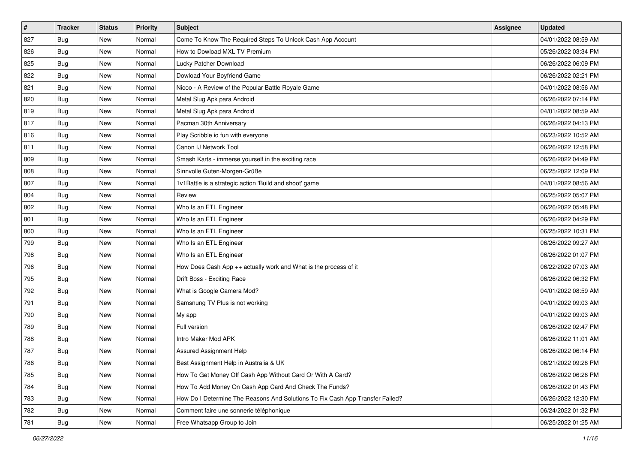| #   | <b>Tracker</b> | <b>Status</b> | <b>Priority</b> | <b>Subject</b>                                                                | <b>Assignee</b> | <b>Updated</b>      |
|-----|----------------|---------------|-----------------|-------------------------------------------------------------------------------|-----------------|---------------------|
| 827 | <b>Bug</b>     | New           | Normal          | Come To Know The Required Steps To Unlock Cash App Account                    |                 | 04/01/2022 08:59 AM |
| 826 | Bug            | New           | Normal          | How to Dowload MXL TV Premium                                                 |                 | 05/26/2022 03:34 PM |
| 825 | Bug            | New           | Normal          | Lucky Patcher Download                                                        |                 | 06/26/2022 06:09 PM |
| 822 | <b>Bug</b>     | New           | Normal          | Dowload Your Boyfriend Game                                                   |                 | 06/26/2022 02:21 PM |
| 821 | <b>Bug</b>     | New           | Normal          | Nicoo - A Review of the Popular Battle Royale Game                            |                 | 04/01/2022 08:56 AM |
| 820 | <b>Bug</b>     | New           | Normal          | Metal Slug Apk para Android                                                   |                 | 06/26/2022 07:14 PM |
| 819 | Bug            | New           | Normal          | Metal Slug Apk para Android                                                   |                 | 04/01/2022 08:59 AM |
| 817 | Bug            | <b>New</b>    | Normal          | Pacman 30th Anniversary                                                       |                 | 06/26/2022 04:13 PM |
| 816 | <b>Bug</b>     | New           | Normal          | Play Scribble io fun with everyone                                            |                 | 06/23/2022 10:52 AM |
| 811 | <b>Bug</b>     | New           | Normal          | Canon IJ Network Tool                                                         |                 | 06/26/2022 12:58 PM |
| 809 | Bug            | New           | Normal          | Smash Karts - immerse yourself in the exciting race                           |                 | 06/26/2022 04:49 PM |
| 808 | <b>Bug</b>     | New           | Normal          | Sinnvolle Guten-Morgen-Grüße                                                  |                 | 06/25/2022 12:09 PM |
| 807 | Bug            | <b>New</b>    | Normal          | 1v1Battle is a strategic action 'Build and shoot' game                        |                 | 04/01/2022 08:56 AM |
| 804 | Bug            | New           | Normal          | Review                                                                        |                 | 06/25/2022 05:07 PM |
| 802 | <b>Bug</b>     | New           | Normal          | Who Is an ETL Engineer                                                        |                 | 06/26/2022 05:48 PM |
| 801 | Bug            | New           | Normal          | Who Is an ETL Engineer                                                        |                 | 06/26/2022 04:29 PM |
| 800 | Bug            | New           | Normal          | Who Is an ETL Engineer                                                        |                 | 06/25/2022 10:31 PM |
| 799 | Bug            | New           | Normal          | Who Is an ETL Engineer                                                        |                 | 06/26/2022 09:27 AM |
| 798 | <b>Bug</b>     | New           | Normal          | Who Is an ETL Engineer                                                        |                 | 06/26/2022 01:07 PM |
| 796 | Bug            | New           | Normal          | How Does Cash App ++ actually work and What is the process of it              |                 | 06/22/2022 07:03 AM |
| 795 | Bug            | New           | Normal          | Drift Boss - Exciting Race                                                    |                 | 06/26/2022 06:32 PM |
| 792 | <b>Bug</b>     | New           | Normal          | What is Google Camera Mod?                                                    |                 | 04/01/2022 08:59 AM |
| 791 | Bug            | New           | Normal          | Samsnung TV Plus is not working                                               |                 | 04/01/2022 09:03 AM |
| 790 | <b>Bug</b>     | New           | Normal          | My app                                                                        |                 | 04/01/2022 09:03 AM |
| 789 | <b>Bug</b>     | New           | Normal          | Full version                                                                  |                 | 06/26/2022 02:47 PM |
| 788 | <b>Bug</b>     | New           | Normal          | Intro Maker Mod APK                                                           |                 | 06/26/2022 11:01 AM |
| 787 | <b>Bug</b>     | New           | Normal          | Assured Assignment Help                                                       |                 | 06/26/2022 06:14 PM |
| 786 | <b>Bug</b>     | New           | Normal          | Best Assignment Help in Australia & UK                                        |                 | 06/21/2022 09:28 PM |
| 785 | Bug            | New           | Normal          | How To Get Money Off Cash App Without Card Or With A Card?                    |                 | 06/26/2022 06:26 PM |
| 784 | <b>Bug</b>     | New           | Normal          | How To Add Money On Cash App Card And Check The Funds?                        |                 | 06/26/2022 01:43 PM |
| 783 | Bug            | New           | Normal          | How Do I Determine The Reasons And Solutions To Fix Cash App Transfer Failed? |                 | 06/26/2022 12:30 PM |
| 782 | <b>Bug</b>     | New           | Normal          | Comment faire une sonnerie téléphonique                                       |                 | 06/24/2022 01:32 PM |
| 781 | <b>Bug</b>     | New           | Normal          | Free Whatsapp Group to Join                                                   |                 | 06/25/2022 01:25 AM |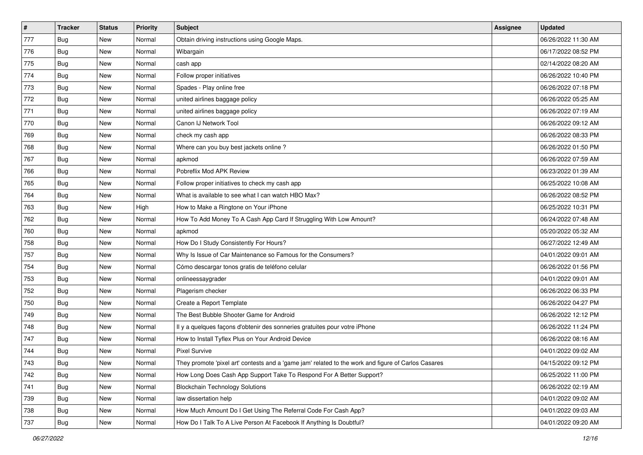| $\vert$ # | <b>Tracker</b> | <b>Status</b> | <b>Priority</b> | <b>Subject</b>                                                                                      | Assignee | <b>Updated</b>      |
|-----------|----------------|---------------|-----------------|-----------------------------------------------------------------------------------------------------|----------|---------------------|
| 777       | <b>Bug</b>     | New           | Normal          | Obtain driving instructions using Google Maps.                                                      |          | 06/26/2022 11:30 AM |
| 776       | Bug            | <b>New</b>    | Normal          | Wibargain                                                                                           |          | 06/17/2022 08:52 PM |
| 775       | Bug            | New           | Normal          | cash app                                                                                            |          | 02/14/2022 08:20 AM |
| 774       | Bug            | New           | Normal          | Follow proper initiatives                                                                           |          | 06/26/2022 10:40 PM |
| 773       | Bug            | <b>New</b>    | Normal          | Spades - Play online free                                                                           |          | 06/26/2022 07:18 PM |
| 772       | <b>Bug</b>     | New           | Normal          | united airlines baggage policy                                                                      |          | 06/26/2022 05:25 AM |
| 771       | Bug            | New           | Normal          | united airlines baggage policy                                                                      |          | 06/26/2022 07:19 AM |
| 770       | <b>Bug</b>     | New           | Normal          | Canon IJ Network Tool                                                                               |          | 06/26/2022 09:12 AM |
| 769       | Bug            | <b>New</b>    | Normal          | check my cash app                                                                                   |          | 06/26/2022 08:33 PM |
| 768       | Bug            | <b>New</b>    | Normal          | Where can you buy best jackets online?                                                              |          | 06/26/2022 01:50 PM |
| 767       | Bug            | New           | Normal          | apkmod                                                                                              |          | 06/26/2022 07:59 AM |
| 766       | Bug            | New           | Normal          | Pobreflix Mod APK Review                                                                            |          | 06/23/2022 01:39 AM |
| 765       | Bug            | <b>New</b>    | Normal          | Follow proper initiatives to check my cash app                                                      |          | 06/25/2022 10:08 AM |
| 764       | <b>Bug</b>     | New           | Normal          | What is available to see what I can watch HBO Max?                                                  |          | 06/26/2022 08:52 PM |
| 763       | <b>Bug</b>     | <b>New</b>    | High            | How to Make a Ringtone on Your iPhone                                                               |          | 06/25/2022 10:31 PM |
| 762       | Bug            | New           | Normal          | How To Add Money To A Cash App Card If Struggling With Low Amount?                                  |          | 06/24/2022 07:48 AM |
| 760       | Bug            | New           | Normal          | apkmod                                                                                              |          | 05/20/2022 05:32 AM |
| 758       | Bug            | <b>New</b>    | Normal          | How Do I Study Consistently For Hours?                                                              |          | 06/27/2022 12:49 AM |
| 757       | Bug            | New           | Normal          | Why Is Issue of Car Maintenance so Famous for the Consumers?                                        |          | 04/01/2022 09:01 AM |
| 754       | Bug            | <b>New</b>    | Normal          | Cómo descargar tonos gratis de teléfono celular                                                     |          | 06/26/2022 01:56 PM |
| 753       | Bug            | New           | Normal          | onlineessaygrader                                                                                   |          | 04/01/2022 09:01 AM |
| 752       | Bug            | <b>New</b>    | Normal          | Plagerism checker                                                                                   |          | 06/26/2022 06:33 PM |
| 750       | Bug            | <b>New</b>    | Normal          | Create a Report Template                                                                            |          | 06/26/2022 04:27 PM |
| 749       | Bug            | New           | Normal          | The Best Bubble Shooter Game for Android                                                            |          | 06/26/2022 12:12 PM |
| 748       | Bug            | New           | Normal          | Il y a quelques façons d'obtenir des sonneries gratuites pour votre iPhone                          |          | 06/26/2022 11:24 PM |
| 747       | Bug            | New           | Normal          | How to Install Tyflex Plus on Your Android Device                                                   |          | 06/26/2022 08:16 AM |
| 744       | <b>Bug</b>     | New           | Normal          | <b>Pixel Survive</b>                                                                                |          | 04/01/2022 09:02 AM |
| 743       | <b>Bug</b>     | New           | Normal          | They promote 'pixel art' contests and a 'game jam' related to the work and figure of Carlos Casares |          | 04/15/2022 09:12 PM |
| 742       | Bug            | New           | Normal          | How Long Does Cash App Support Take To Respond For A Better Support?                                |          | 06/25/2022 11:00 PM |
| 741       | Bug            | New           | Normal          | <b>Blockchain Technology Solutions</b>                                                              |          | 06/26/2022 02:19 AM |
| 739       | Bug            | New           | Normal          | law dissertation help                                                                               |          | 04/01/2022 09:02 AM |
| 738       | Bug            | New           | Normal          | How Much Amount Do I Get Using The Referral Code For Cash App?                                      |          | 04/01/2022 09:03 AM |
| 737       | Bug            | New           | Normal          | How Do I Talk To A Live Person At Facebook If Anything Is Doubtful?                                 |          | 04/01/2022 09:20 AM |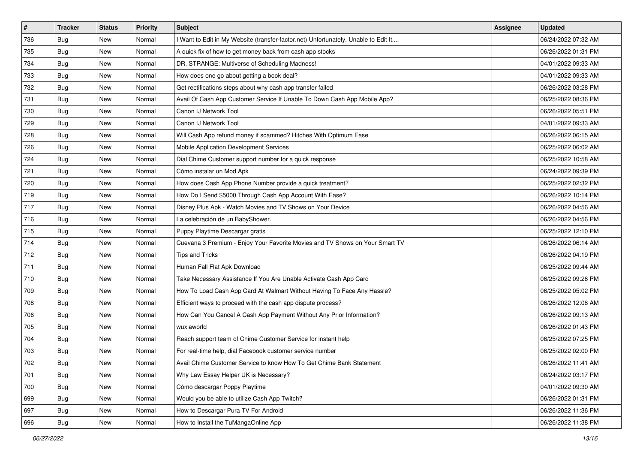| $\pmb{\#}$ | <b>Tracker</b> | <b>Status</b> | <b>Priority</b> | <b>Subject</b>                                                                      | Assignee | <b>Updated</b>      |
|------------|----------------|---------------|-----------------|-------------------------------------------------------------------------------------|----------|---------------------|
| 736        | <b>Bug</b>     | New           | Normal          | I Want to Edit in My Website (transfer-factor.net) Unfortunately, Unable to Edit It |          | 06/24/2022 07:32 AM |
| 735        | Bug            | New           | Normal          | A quick fix of how to get money back from cash app stocks                           |          | 06/26/2022 01:31 PM |
| 734        | Bug            | New           | Normal          | DR. STRANGE: Multiverse of Scheduling Madness!                                      |          | 04/01/2022 09:33 AM |
| 733        | <b>Bug</b>     | New           | Normal          | How does one go about getting a book deal?                                          |          | 04/01/2022 09:33 AM |
| 732        | <b>Bug</b>     | New           | Normal          | Get rectifications steps about why cash app transfer failed                         |          | 06/26/2022 03:28 PM |
| 731        | <b>Bug</b>     | New           | Normal          | Avail Of Cash App Customer Service If Unable To Down Cash App Mobile App?           |          | 06/25/2022 08:36 PM |
| 730        | Bug            | New           | Normal          | Canon IJ Network Tool                                                               |          | 06/26/2022 05:51 PM |
| 729        | Bug            | New           | Normal          | Canon IJ Network Tool                                                               |          | 04/01/2022 09:33 AM |
| 728        | <b>Bug</b>     | New           | Normal          | Will Cash App refund money if scammed? Hitches With Optimum Ease                    |          | 06/26/2022 06:15 AM |
| 726        | Bug            | New           | Normal          | Mobile Application Development Services                                             |          | 06/25/2022 06:02 AM |
| 724        | <b>Bug</b>     | New           | Normal          | Dial Chime Customer support number for a quick response                             |          | 06/25/2022 10:58 AM |
| 721        | <b>Bug</b>     | New           | Normal          | Cómo instalar un Mod Apk                                                            |          | 06/24/2022 09:39 PM |
| 720        | Bug            | New           | Normal          | How does Cash App Phone Number provide a quick treatment?                           |          | 06/25/2022 02:32 PM |
| 719        | <b>Bug</b>     | New           | Normal          | How Do I Send \$5000 Through Cash App Account With Ease?                            |          | 06/26/2022 10:14 PM |
| 717        | <b>Bug</b>     | New           | Normal          | Disney Plus Apk - Watch Movies and TV Shows on Your Device                          |          | 06/26/2022 04:56 AM |
| 716        | Bug            | New           | Normal          | La celebración de un BabyShower.                                                    |          | 06/26/2022 04:56 PM |
| 715        | Bug            | New           | Normal          | Puppy Playtime Descargar gratis                                                     |          | 06/25/2022 12:10 PM |
| 714        | Bug            | New           | Normal          | Cuevana 3 Premium - Enjoy Your Favorite Movies and TV Shows on Your Smart TV        |          | 06/26/2022 06:14 AM |
| 712        | <b>Bug</b>     | New           | Normal          | Tips and Tricks                                                                     |          | 06/26/2022 04:19 PM |
| 711        | <b>Bug</b>     | New           | Normal          | Human Fall Flat Apk Download                                                        |          | 06/25/2022 09:44 AM |
| 710        | Bug            | New           | Normal          | Take Necessary Assistance If You Are Unable Activate Cash App Card                  |          | 06/25/2022 09:26 PM |
| 709        | <b>Bug</b>     | New           | Normal          | How To Load Cash App Card At Walmart Without Having To Face Any Hassle?             |          | 06/25/2022 05:02 PM |
| 708        | Bug            | New           | Normal          | Efficient ways to proceed with the cash app dispute process?                        |          | 06/26/2022 12:08 AM |
| 706        | <b>Bug</b>     | New           | Normal          | How Can You Cancel A Cash App Payment Without Any Prior Information?                |          | 06/26/2022 09:13 AM |
| 705        | <b>Bug</b>     | New           | Normal          | wuxiaworld                                                                          |          | 06/26/2022 01:43 PM |
| 704        | Bug            | New           | Normal          | Reach support team of Chime Customer Service for instant help                       |          | 06/25/2022 07:25 PM |
| 703        | <b>Bug</b>     | New           | Normal          | For real-time help, dial Facebook customer service number                           |          | 06/25/2022 02:00 PM |
| 702        | <b>Bug</b>     | New           | Normal          | Avail Chime Customer Service to know How To Get Chime Bank Statement                |          | 06/26/2022 11:41 AM |
| 701        | <b>Bug</b>     | New           | Normal          | Why Law Essay Helper UK is Necessary?                                               |          | 06/24/2022 03:17 PM |
| 700        | Bug            | New           | Normal          | Cómo descargar Poppy Playtime                                                       |          | 04/01/2022 09:30 AM |
| 699        | <b>Bug</b>     | New           | Normal          | Would you be able to utilize Cash App Twitch?                                       |          | 06/26/2022 01:31 PM |
| 697        | <b>Bug</b>     | New           | Normal          | How to Descargar Pura TV For Android                                                |          | 06/26/2022 11:36 PM |
| 696        | <b>Bug</b>     | New           | Normal          | How to Install the TuMangaOnline App                                                |          | 06/26/2022 11:38 PM |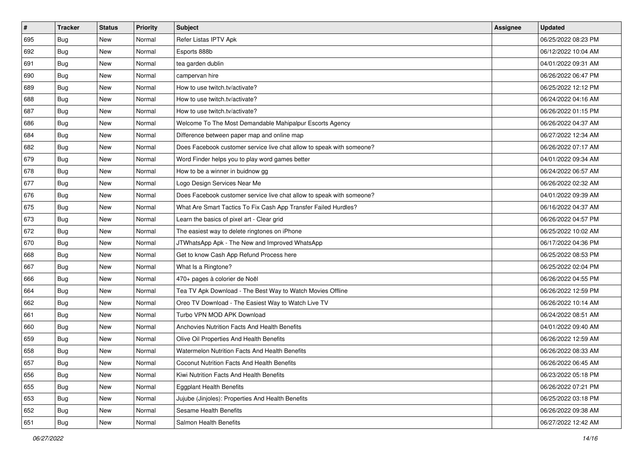| $\vert$ # | <b>Tracker</b> | <b>Status</b> | <b>Priority</b> | Subject                                                               | <b>Assignee</b> | <b>Updated</b>      |
|-----------|----------------|---------------|-----------------|-----------------------------------------------------------------------|-----------------|---------------------|
| 695       | <b>Bug</b>     | New           | Normal          | Refer Listas IPTV Apk                                                 |                 | 06/25/2022 08:23 PM |
| 692       | Bug            | New           | Normal          | Esports 888b                                                          |                 | 06/12/2022 10:04 AM |
| 691       | Bug            | New           | Normal          | tea garden dublin                                                     |                 | 04/01/2022 09:31 AM |
| 690       | <b>Bug</b>     | New           | Normal          | campervan hire                                                        |                 | 06/26/2022 06:47 PM |
| 689       | Bug            | New           | Normal          | How to use twitch.tv/activate?                                        |                 | 06/25/2022 12:12 PM |
| 688       | <b>Bug</b>     | New           | Normal          | How to use twitch.tv/activate?                                        |                 | 06/24/2022 04:16 AM |
| 687       | Bug            | New           | Normal          | How to use twitch.tv/activate?                                        |                 | 06/26/2022 01:15 PM |
| 686       | <b>Bug</b>     | New           | Normal          | Welcome To The Most Demandable Mahipalpur Escorts Agency              |                 | 06/26/2022 04:37 AM |
| 684       | Bug            | New           | Normal          | Difference between paper map and online map                           |                 | 06/27/2022 12:34 AM |
| 682       | Bug            | New           | Normal          | Does Facebook customer service live chat allow to speak with someone? |                 | 06/26/2022 07:17 AM |
| 679       | <b>Bug</b>     | New           | Normal          | Word Finder helps you to play word games better                       |                 | 04/01/2022 09:34 AM |
| 678       | Bug            | New           | Normal          | How to be a winner in buidnow gg                                      |                 | 06/24/2022 06:57 AM |
| 677       | <b>Bug</b>     | New           | Normal          | Logo Design Services Near Me                                          |                 | 06/26/2022 02:32 AM |
| 676       | Bug            | New           | Normal          | Does Facebook customer service live chat allow to speak with someone? |                 | 04/01/2022 09:39 AM |
| 675       | <b>Bug</b>     | New           | Normal          | What Are Smart Tactics To Fix Cash App Transfer Failed Hurdles?       |                 | 06/16/2022 04:37 AM |
| 673       | Bug            | New           | Normal          | Learn the basics of pixel art - Clear grid                            |                 | 06/26/2022 04:57 PM |
| 672       | <b>Bug</b>     | New           | Normal          | The easiest way to delete ringtones on iPhone                         |                 | 06/25/2022 10:02 AM |
| 670       | Bug            | New           | Normal          | JTWhatsApp Apk - The New and Improved WhatsApp                        |                 | 06/17/2022 04:36 PM |
| 668       | <b>Bug</b>     | New           | Normal          | Get to know Cash App Refund Process here                              |                 | 06/25/2022 08:53 PM |
| 667       | Bug            | New           | Normal          | What Is a Ringtone?                                                   |                 | 06/25/2022 02:04 PM |
| 666       | Bug            | New           | Normal          | 470+ pages à colorier de Noël                                         |                 | 06/26/2022 04:55 PM |
| 664       | <b>Bug</b>     | New           | Normal          | Tea TV Apk Download - The Best Way to Watch Movies Offline            |                 | 06/26/2022 12:59 PM |
| 662       | Bug            | New           | Normal          | Oreo TV Download - The Easiest Way to Watch Live TV                   |                 | 06/26/2022 10:14 AM |
| 661       | <b>Bug</b>     | New           | Normal          | Turbo VPN MOD APK Download                                            |                 | 06/24/2022 08:51 AM |
| 660       | Bug            | New           | Normal          | Anchovies Nutrition Facts And Health Benefits                         |                 | 04/01/2022 09:40 AM |
| 659       | Bug            | New           | Normal          | Olive Oil Properties And Health Benefits                              |                 | 06/26/2022 12:59 AM |
| 658       | <b>Bug</b>     | New           | Normal          | Watermelon Nutrition Facts And Health Benefits                        |                 | 06/26/2022 08:33 AM |
| 657       | Bug            | New           | Normal          | Coconut Nutrition Facts And Health Benefits                           |                 | 06/26/2022 06:45 AM |
| 656       | Bug            | New           | Normal          | Kiwi Nutrition Facts And Health Benefits                              |                 | 06/23/2022 05:18 PM |
| 655       | <b>Bug</b>     | New           | Normal          | <b>Eggplant Health Benefits</b>                                       |                 | 06/26/2022 07:21 PM |
| 653       | Bug            | New           | Normal          | Jujube (Jinjoles): Properties And Health Benefits                     |                 | 06/25/2022 03:18 PM |
| 652       | Bug            | New           | Normal          | Sesame Health Benefits                                                |                 | 06/26/2022 09:38 AM |
| 651       | <b>Bug</b>     | New           | Normal          | Salmon Health Benefits                                                |                 | 06/27/2022 12:42 AM |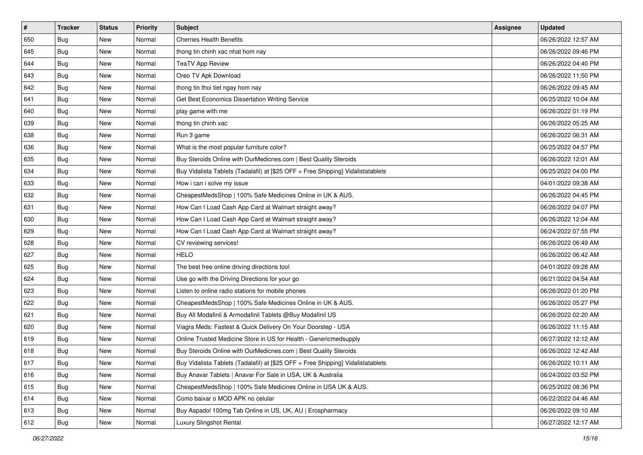| #   | <b>Tracker</b> | <b>Status</b> | <b>Priority</b> | Subject                                                                          | <b>Assignee</b> | <b>Updated</b>      |
|-----|----------------|---------------|-----------------|----------------------------------------------------------------------------------|-----------------|---------------------|
| 650 | <b>Bug</b>     | New           | Normal          | <b>Cherries Health Benefits</b>                                                  |                 | 06/26/2022 12:57 AM |
| 645 | Bug            | New           | Normal          | thong tin chinh xac nhat hom nay                                                 |                 | 06/26/2022 09:46 PM |
| 644 | Bug            | New           | Normal          | <b>TeaTV App Review</b>                                                          |                 | 06/26/2022 04:40 PM |
| 643 | <b>Bug</b>     | New           | Normal          | Oreo TV Apk Download                                                             |                 | 06/26/2022 11:50 PM |
| 642 | Bug            | New           | Normal          | thong tin thoi tiet ngay hom nay                                                 |                 | 06/26/2022 09:45 AM |
| 641 | <b>Bug</b>     | New           | Normal          | Get Best Economics Dissertation Writing Service                                  |                 | 06/25/2022 10:04 AM |
| 640 | <b>Bug</b>     | New           | Normal          | play game with me                                                                |                 | 06/26/2022 01:19 PM |
| 639 | Bug            | New           | Normal          | thong tin chinh xac                                                              |                 | 06/26/2022 05:25 AM |
| 638 | Bug            | New           | Normal          | Run 3 game                                                                       |                 | 06/26/2022 06:31 AM |
| 636 | Bug            | New           | Normal          | What is the most popular furniture color?                                        |                 | 06/25/2022 04:57 PM |
| 635 | <b>Bug</b>     | New           | Normal          | Buy Steroids Online with OurMedicnes.com   Best Quality Steroids                 |                 | 06/26/2022 12:01 AM |
| 634 | <b>Bug</b>     | New           | Normal          | Buy Vidalista Tablets (Tadalafil) at [\$25 OFF + Free Shipping] Vidalistatablets |                 | 06/25/2022 04:00 PM |
| 633 | Bug            | New           | Normal          | How i can i solve my issue                                                       |                 | 04/01/2022 09:38 AM |
| 632 | <b>Bug</b>     | New           | Normal          | CheapestMedsShop   100% Safe Medicines Online in UK & AUS.                       |                 | 06/26/2022 04:45 PM |
| 631 | <b>Bug</b>     | New           | Normal          | How Can I Load Cash App Card at Walmart straight away?                           |                 | 06/26/2022 04:07 PM |
| 630 | <b>Bug</b>     | New           | Normal          | How Can I Load Cash App Card at Walmart straight away?                           |                 | 06/26/2022 12:04 AM |
| 629 | <b>Bug</b>     | New           | Normal          | How Can I Load Cash App Card at Walmart straight away?                           |                 | 06/24/2022 07:55 PM |
| 628 | Bug            | New           | Normal          | CV reviewing services!                                                           |                 | 06/26/2022 06:49 AM |
| 627 | <b>Bug</b>     | New           | Normal          | <b>HELO</b>                                                                      |                 | 06/26/2022 06:42 AM |
| 625 | Bug            | New           | Normal          | The best free online driving directions tool                                     |                 | 04/01/2022 09:28 AM |
| 624 | Bug            | New           | Normal          | Use go with the Driving Directions for your go                                   |                 | 06/21/2022 04:54 AM |
| 623 | Bug            | New           | Normal          | Listen to online radio stations for mobile phones                                |                 | 06/26/2022 01:20 PM |
| 622 | Bug            | New           | Normal          | CheapestMedsShop   100% Safe Medicines Online in UK & AUS.                       |                 | 06/26/2022 05:27 PM |
| 621 | <b>Bug</b>     | New           | Normal          | Buy All Modafinil & Armodafinil Tablets @Buy Modafinil US                        |                 | 06/26/2022 02:20 AM |
| 620 | <b>Bug</b>     | New           | Normal          | Viagra Meds: Fastest & Quick Delivery On Your Doorstep - USA                     |                 | 06/26/2022 11:15 AM |
| 619 | Bug            | New           | Normal          | Online Trusted Medicine Store in US for Health - Genericmedsupply                |                 | 06/27/2022 12:12 AM |
| 618 | <b>Bug</b>     | New           | Normal          | Buy Steroids Online with OurMedicnes.com   Best Quality Steroids                 |                 | 06/26/2022 12:42 AM |
| 617 | <b>Bug</b>     | New           | Normal          | Buy Vidalista Tablets (Tadalafil) at [\$25 OFF + Free Shipping] Vidalistatablets |                 | 06/26/2022 10:11 AM |
| 616 | Bug            | New           | Normal          | Buy Anavar Tablets   Anavar For Sale in USA, UK & Australia                      |                 | 06/24/2022 03:52 PM |
| 615 | <b>Bug</b>     | New           | Normal          | CheapestMedsShop   100% Safe Medicines Online in USA UK & AUS.                   |                 | 06/25/2022 08:36 PM |
| 614 | Bug            | New           | Normal          | Como baixar o MOD APK no celular                                                 |                 | 06/22/2022 04:46 AM |
| 613 | <b>Bug</b>     | New           | Normal          | Buy Aspadol 100mg Tab Online in US, UK, AU   Erospharmacy                        |                 | 06/26/2022 09:10 AM |
| 612 | <b>Bug</b>     | New           | Normal          | Luxury Slingshot Rental                                                          |                 | 06/27/2022 12:17 AM |